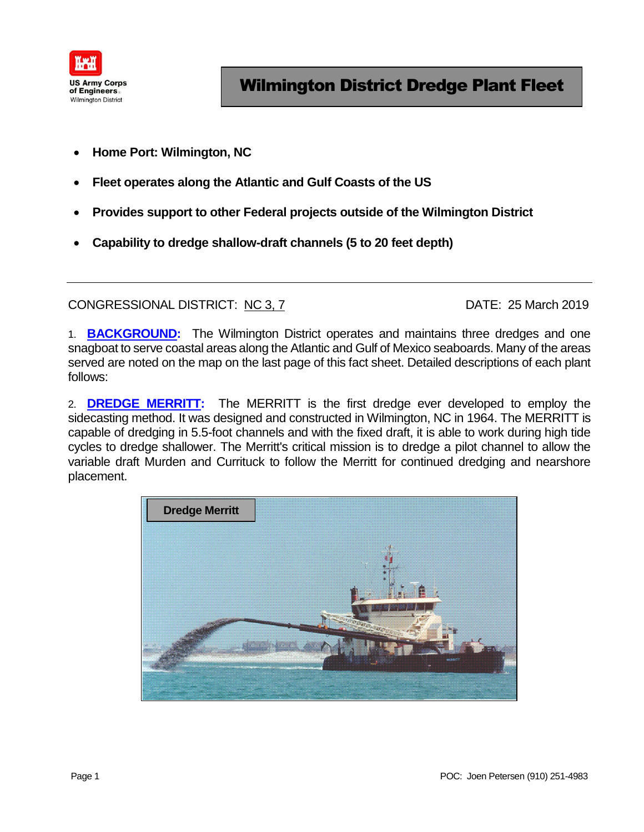

- **Home Port: Wilmington, NC**
- **Fleet operates along the Atlantic and Gulf Coasts of the US**
- **Provides support to other Federal projects outside of the Wilmington District**
- **Capability to dredge shallow-draft channels (5 to 20 feet depth)**

CONGRESSIONAL DISTRICT: NC 3, 7 DATE: 25 March 2019

1. **BACKGROUND:** The Wilmington District operates and maintains three dredges and one snagboat to serve coastal areas along the Atlantic and Gulf of Mexico seaboards. Many of the areas served are noted on the map on the last page of this fact sheet. Detailed descriptions of each plant follows:

2. **DREDGE MERRITT:** The MERRITT is the first dredge ever developed to employ the sidecasting method. It was designed and constructed in Wilmington, NC in 1964. The MERRITT is capable of dredging in 5.5-foot channels and with the fixed draft, it is able to work during high tide cycles to dredge shallower. The Merritt's critical mission is to dredge a pilot channel to allow the variable draft Murden and Currituck to follow the Merritt for continued dredging and nearshore placement.

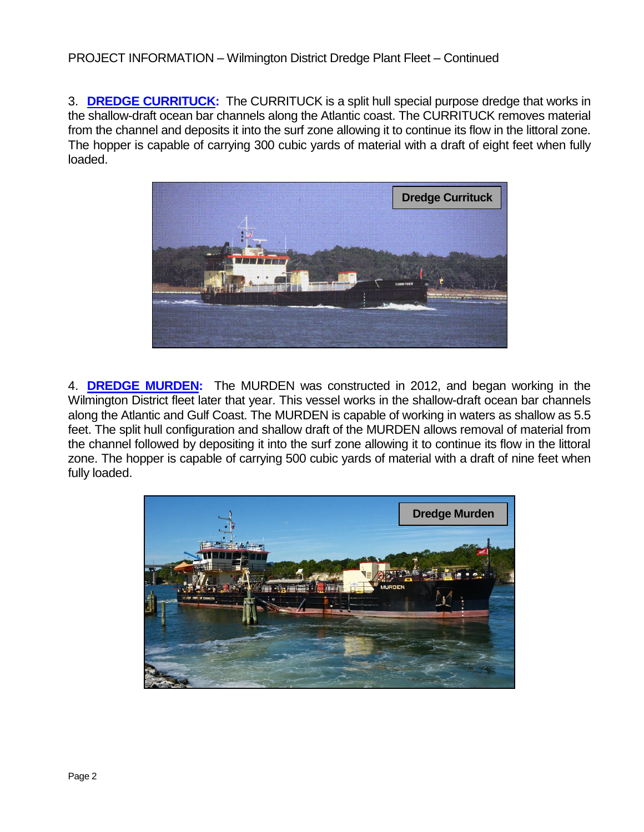## PROJECT INFORMATION – Wilmington District Dredge Plant Fleet – Continued

3. **DREDGE CURRITUCK:** The CURRITUCK is a split hull special purpose dredge that works in the shallow-draft ocean bar channels along the Atlantic coast. The CURRITUCK removes material from the channel and deposits it into the surf zone allowing it to continue its flow in the littoral zone. The hopper is capable of carrying 300 cubic yards of material with a draft of eight feet when fully loaded.



4. **DREDGE MURDEN:** The MURDEN was constructed in 2012, and began working in the Wilmington District fleet later that year. This vessel works in the shallow-draft ocean bar channels along the Atlantic and Gulf Coast. The MURDEN is capable of working in waters as shallow as 5.5 feet. The split hull configuration and shallow draft of the MURDEN allows removal of material from the channel followed by depositing it into the surf zone allowing it to continue its flow in the littoral zone. The hopper is capable of carrying 500 cubic yards of material with a draft of nine feet when fully loaded.

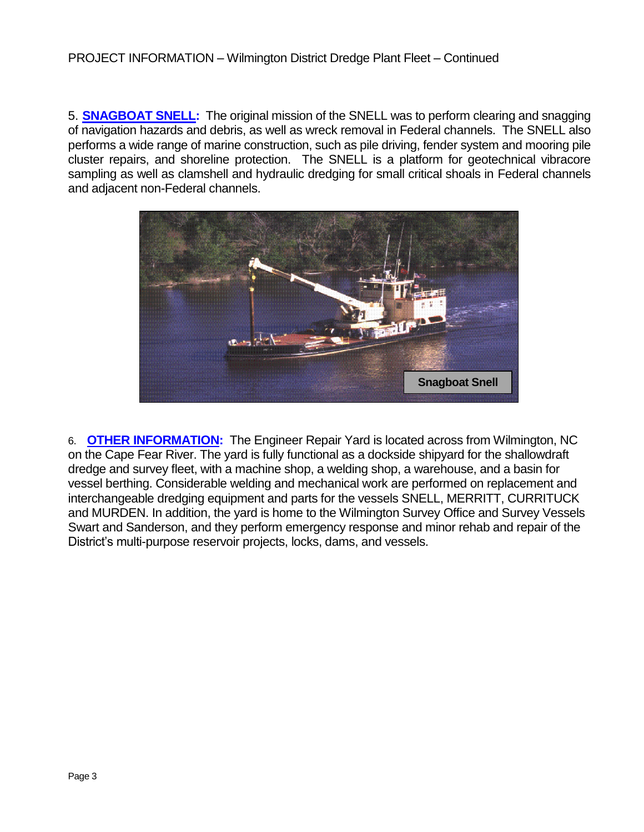5. **SNAGBOAT SNELL:** The original mission of the SNELL was to perform clearing and snagging of navigation hazards and debris, as well as wreck removal in Federal channels. The SNELL also performs a wide range of marine construction, such as pile driving, fender system and mooring pile cluster repairs, and shoreline protection. The SNELL is a platform for geotechnical vibracore sampling as well as clamshell and hydraulic dredging for small critical shoals in Federal channels and adjacent non-Federal channels.



6. **OTHER INFORMATION:** The Engineer Repair Yard is located across from Wilmington, NC on the Cape Fear River. The yard is fully functional as a dockside shipyard for the shallowdraft dredge and survey fleet, with a machine shop, a welding shop, a warehouse, and a basin for vessel berthing. Considerable welding and mechanical work are performed on replacement and interchangeable dredging equipment and parts for the vessels SNELL, MERRITT, CURRITUCK and MURDEN. In addition, the yard is home to the Wilmington Survey Office and Survey Vessels Swart and Sanderson, and they perform emergency response and minor rehab and repair of the District's multi-purpose reservoir projects, locks, dams, and vessels.